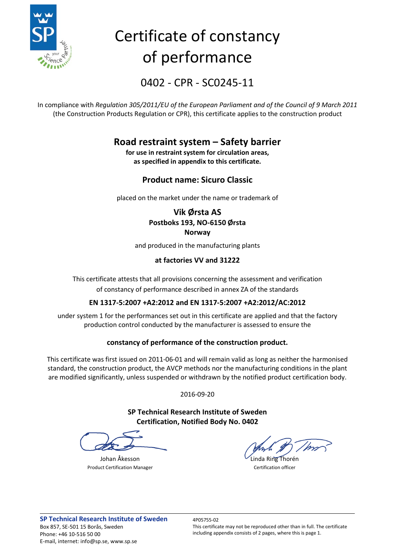

# Certificate of constancy of performance

0402 - CPR - SC0245-11

In compliance with *Regulation 305/2011/EU of the European Parliament and of the Council of 9 March 2011* (the Construction Products Regulation or CPR), this certificate applies to the construction product

### **Road restraint system – Safety barrier**

**for use in restraint system for circulation areas, as specified in appendix to this certificate.**

### **Product name: Sicuro Classic**

placed on the market under the name or trademark of

### **Vik Ørsta AS Postboks 193, NO-6150 Ørsta Norway**

and produced in the manufacturing plants

### **at factories VV and 31222**

This certificate attests that all provisions concerning the assessment and verification of constancy of performance described in annex ZA of the standards

### **EN 1317-5:2007 +A2:2012 and EN 1317-5:2007 +A2:2012/AC:2012**

under system 1 for the performances set out in this certificate are applied and that the factory production control conducted by the manufacturer is assessed to ensure the

### **constancy of performance of the construction product.**

This certificate was first issued on 2011-06-01 and will remain valid as long as neither the harmonised standard, the construction product, the AVCP methods nor the manufacturing conditions in the plant are modified significantly, unless suspended or withdrawn by the notified product certification body.

2016-09-20

**SP Technical Research Institute of Sweden Certification, Notified Body No. 0402**

Product Certification Manager **Certification Manager** Certification officer

Johan Åkesson Linda Ring Thorén